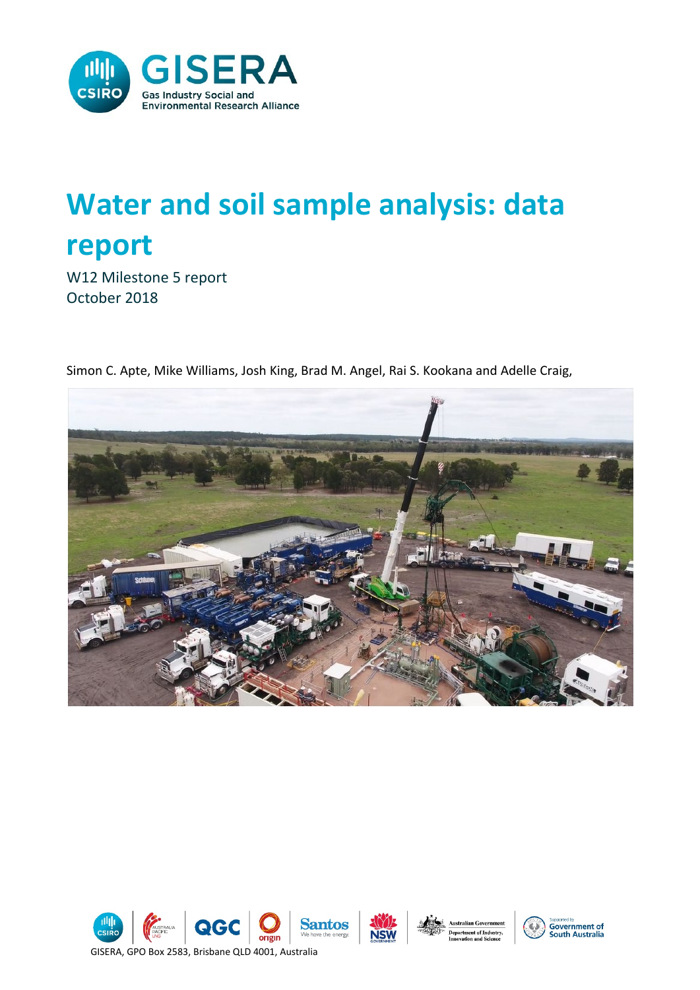

# **Water and soil sample analysis: data report**

W12 Milestone 5 report October 2018



Simon C. Apte, Mike Williams, Josh King, Brad M. Angel, Rai S. Kookana and Adelle Craig,





**Department of Industry,**<br>Innovation and Science

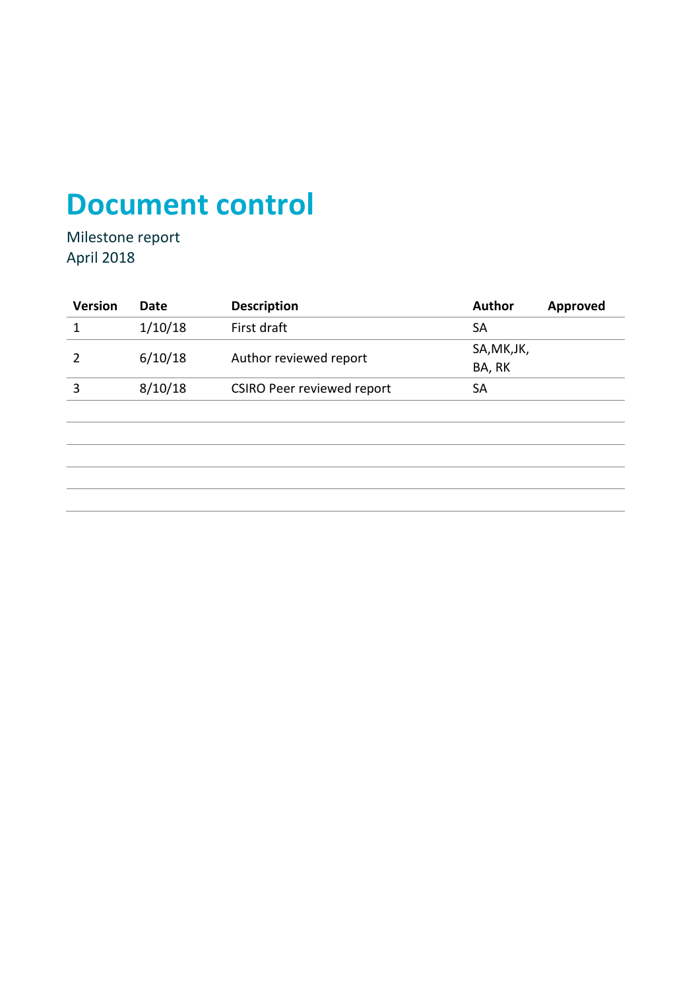# **Document control**

Milestone report April 2018

| Date    | <b>Description</b>                | <b>Author</b>          | <b>Approved</b> |
|---------|-----------------------------------|------------------------|-----------------|
| 1/10/18 | First draft                       | <b>SA</b>              |                 |
|         |                                   | SA, MK, JK,            |                 |
|         |                                   | BA, RK                 |                 |
| 8/10/18 | <b>CSIRO Peer reviewed report</b> | <b>SA</b>              |                 |
|         |                                   |                        |                 |
|         |                                   |                        |                 |
|         |                                   |                        |                 |
|         |                                   |                        |                 |
|         | 6/10/18                           | Author reviewed report |                 |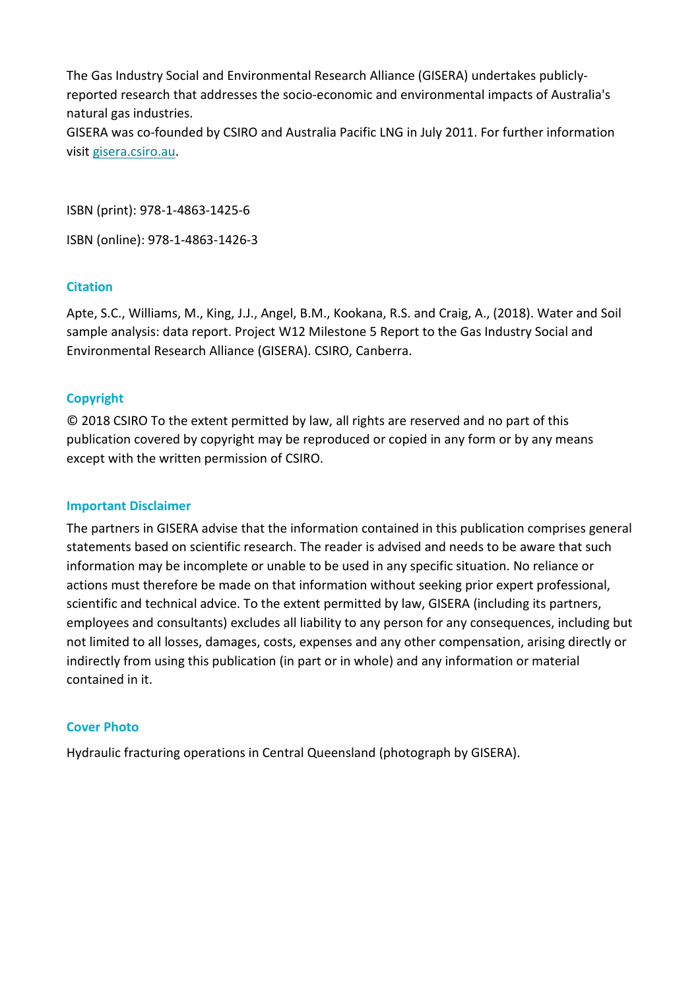The Gas Industry Social and Environmental Research Alliance (GISERA) undertakes publiclyreported research that addresses the socio-economic and environmental impacts of Australia's natural gas industries. GISERA was co-founded by CSIRO and Australia Pacific LNG in July 2011. For further information visit [gisera.csiro.au.](https://gisera.csiro.au/)

ISBN (print): 978-1-4863-1425-6

ISBN (online): 978-1-4863-1426-3

#### **Citation**

Apte, S.C., Williams, M., King, J.J., Angel, B.M., Kookana, R.S. and Craig, A., (2018). Water and Soil sample analysis: data report. Project W12 Milestone 5 Report to the Gas Industry Social and Environmental Research Alliance (GISERA). CSIRO, Canberra.

#### **Copyright**

© 2018 CSIRO To the extent permitted by law, all rights are reserved and no part of this publication covered by copyright may be reproduced or copied in any form or by any means except with the written permission of CSIRO.

#### **Important Disclaimer**

The partners in GISERA advise that the information contained in this publication comprises general statements based on scientific research. The reader is advised and needs to be aware that such information may be incomplete or unable to be used in any specific situation. No reliance or actions must therefore be made on that information without seeking prior expert professional, scientific and technical advice. To the extent permitted by law, GISERA (including its partners, employees and consultants) excludes all liability to any person for any consequences, including but not limited to all losses, damages, costs, expenses and any other compensation, arising directly or indirectly from using this publication (in part or in whole) and any information or material contained in it.

#### **Cover Photo**

Hydraulic fracturing operations in Central Queensland (photograph by GISERA).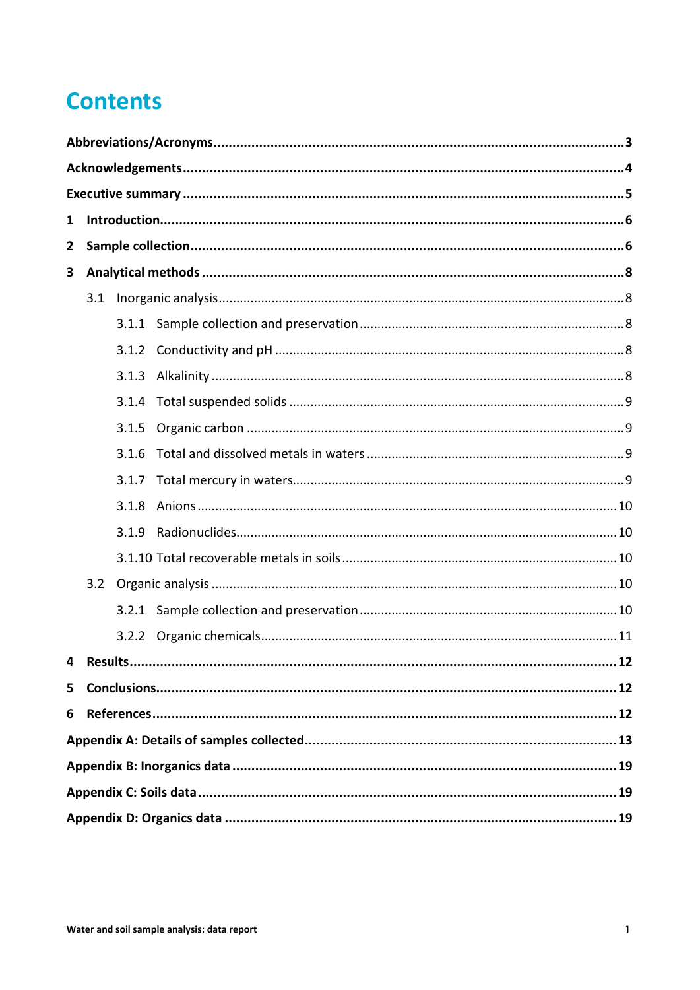### **Contents**

| 1              |       |       |  |  |  |  |
|----------------|-------|-------|--|--|--|--|
| $\overline{2}$ |       |       |  |  |  |  |
| 3              |       |       |  |  |  |  |
|                | 3.1   |       |  |  |  |  |
|                |       |       |  |  |  |  |
|                |       |       |  |  |  |  |
|                |       | 3.1.3 |  |  |  |  |
|                |       |       |  |  |  |  |
|                |       | 3.1.5 |  |  |  |  |
|                | 3.1.6 |       |  |  |  |  |
|                |       |       |  |  |  |  |
|                | 3.1.8 |       |  |  |  |  |
|                | 3.1.9 |       |  |  |  |  |
|                |       |       |  |  |  |  |
|                | 3.2   |       |  |  |  |  |
|                |       |       |  |  |  |  |
|                |       |       |  |  |  |  |
|                | . 12  |       |  |  |  |  |
| 5              |       |       |  |  |  |  |
| 6              |       |       |  |  |  |  |
|                |       |       |  |  |  |  |
|                |       |       |  |  |  |  |
|                |       |       |  |  |  |  |
|                |       |       |  |  |  |  |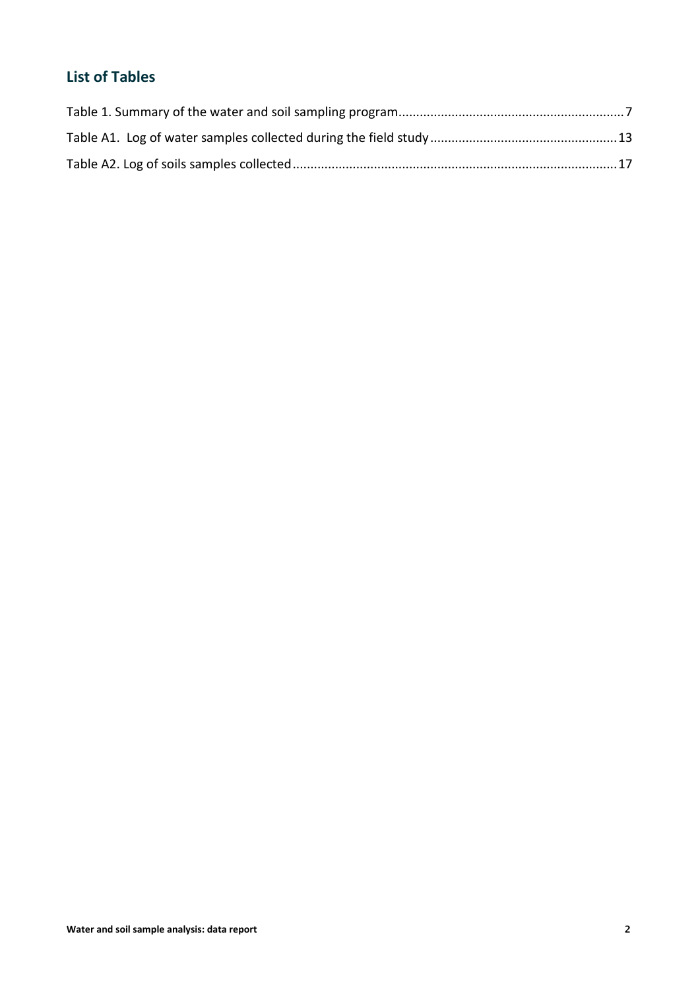### **List of Tables**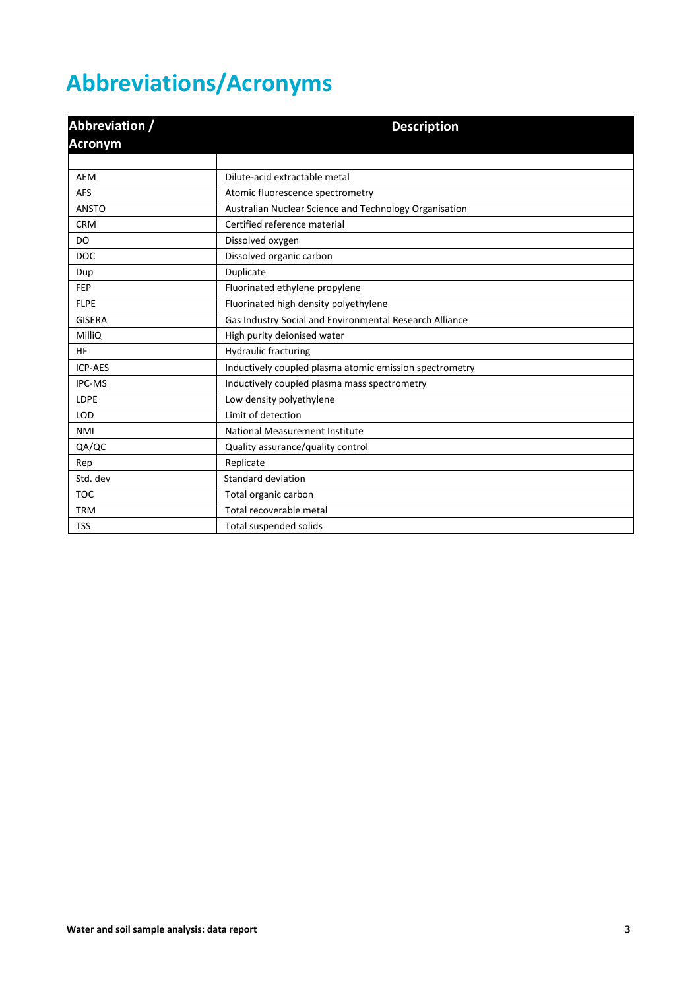# <span id="page-5-0"></span>**Abbreviations/Acronyms**

| Abbreviation /<br><b>Acronym</b> | <b>Description</b>                                      |  |  |
|----------------------------------|---------------------------------------------------------|--|--|
|                                  |                                                         |  |  |
| <b>AEM</b>                       | Dilute-acid extractable metal                           |  |  |
| <b>AFS</b>                       | Atomic fluorescence spectrometry                        |  |  |
| <b>ANSTO</b>                     | Australian Nuclear Science and Technology Organisation  |  |  |
| <b>CRM</b>                       | Certified reference material                            |  |  |
| DO                               | Dissolved oxygen                                        |  |  |
| <b>DOC</b>                       | Dissolved organic carbon                                |  |  |
| Dup                              | Duplicate                                               |  |  |
| <b>FEP</b>                       | Fluorinated ethylene propylene                          |  |  |
| <b>FLPE</b>                      | Fluorinated high density polyethylene                   |  |  |
| <b>GISERA</b>                    | Gas Industry Social and Environmental Research Alliance |  |  |
| MilliQ                           | High purity deionised water                             |  |  |
| <b>HF</b>                        | <b>Hydraulic fracturing</b>                             |  |  |
| <b>ICP-AES</b>                   | Inductively coupled plasma atomic emission spectrometry |  |  |
| IPC-MS                           | Inductively coupled plasma mass spectrometry            |  |  |
| <b>LDPE</b>                      | Low density polyethylene                                |  |  |
| <b>LOD</b>                       | Limit of detection                                      |  |  |
| <b>NMI</b>                       | National Measurement Institute                          |  |  |
| QA/QC                            | Quality assurance/quality control                       |  |  |
| Rep                              | Replicate                                               |  |  |
| Std. dev                         | Standard deviation                                      |  |  |
| <b>TOC</b>                       | Total organic carbon                                    |  |  |
| <b>TRM</b>                       | Total recoverable metal                                 |  |  |
| <b>TSS</b>                       | Total suspended solids                                  |  |  |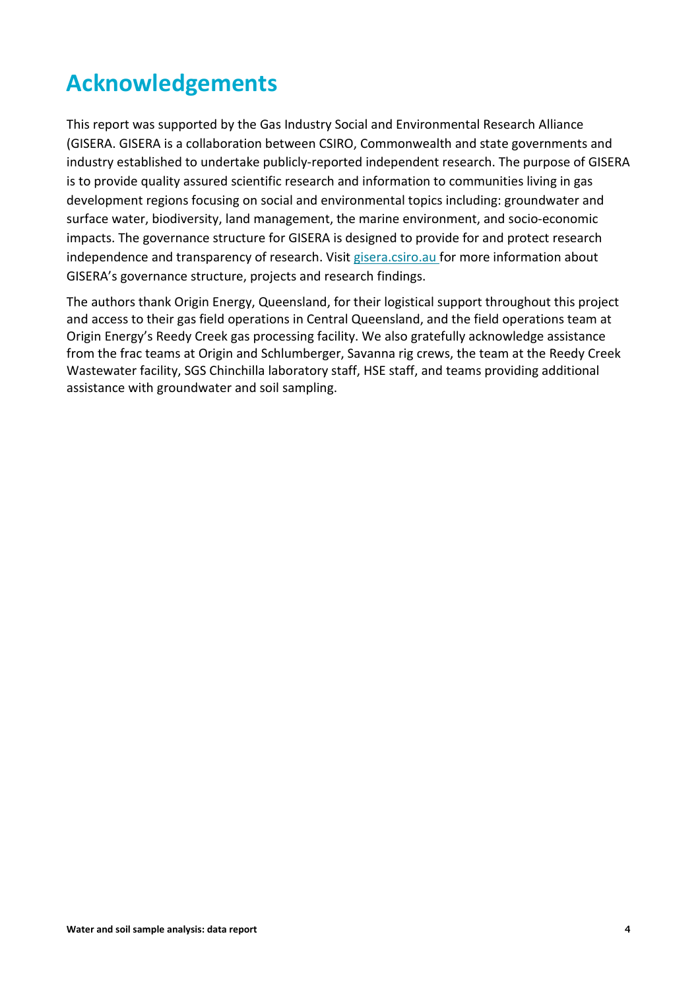# <span id="page-6-0"></span>**Acknowledgements**

This report was supported by the Gas Industry Social and Environmental Research Alliance (GISERA. GISERA is a collaboration between CSIRO, Commonwealth and state governments and industry established to undertake publicly-reported independent research. The purpose of GISERA is to provide quality assured scientific research and information to communities living in gas development regions focusing on social and environmental topics including: groundwater and surface water, biodiversity, land management, the marine environment, and socio-economic impacts. The governance structure for GISERA is designed to provide for and protect research independence and transparency of research. Visit [gisera.csiro.au](https://gisera.csiro.au/) for more information about GISERA's governance structure, projects and research findings.

The authors thank Origin Energy, Queensland, for their logistical support throughout this project and access to their gas field operations in Central Queensland, and the field operations team at Origin Energy's Reedy Creek gas processing facility. We also gratefully acknowledge assistance from the frac teams at Origin and Schlumberger, Savanna rig crews, the team at the Reedy Creek Wastewater facility, SGS Chinchilla laboratory staff, HSE staff, and teams providing additional assistance with groundwater and soil sampling.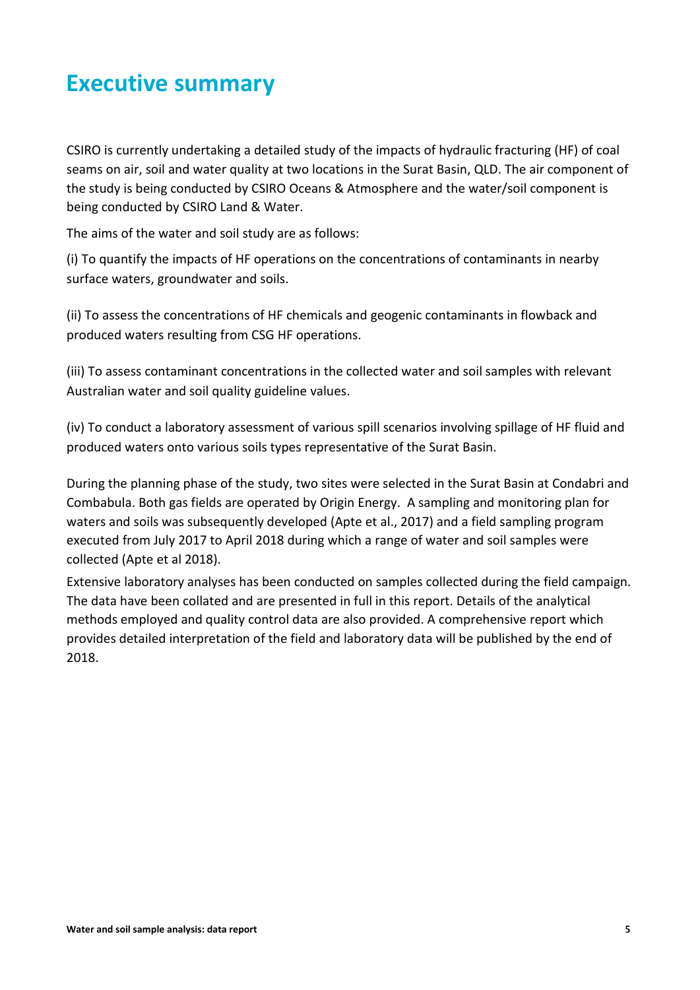### <span id="page-7-0"></span>**Executive summary**

CSIRO is currently undertaking a detailed study of the impacts of hydraulic fracturing (HF) of coal seams on air, soil and water quality at two locations in the Surat Basin, QLD. The air component of the study is being conducted by CSIRO Oceans & Atmosphere and the water/soil component is being conducted by CSIRO Land & Water.

The aims of the water and soil study are as follows:

(i) To quantify the impacts of HF operations on the concentrations of contaminants in nearby surface waters, groundwater and soils.

(ii) To assess the concentrations of HF chemicals and geogenic contaminants in flowback and produced waters resulting from CSG HF operations.

(iii) To assess contaminant concentrations in the collected water and soil samples with relevant Australian water and soil quality guideline values.

(iv) To conduct a laboratory assessment of various spill scenarios involving spillage of HF fluid and produced waters onto various soils types representative of the Surat Basin.

During the planning phase of the study, two sites were selected in the Surat Basin at Condabri and Combabula. Both gas fields are operated by Origin Energy. A sampling and monitoring plan for waters and soils was subsequently developed (Apte et al., 2017) and a field sampling program executed from July 2017 to April 2018 during which a range of water and soil samples were collected (Apte et al 2018).

Extensive laboratory analyses has been conducted on samples collected during the field campaign. The data have been collated and are presented in full in this report. Details of the analytical methods employed and quality control data are also provided. A comprehensive report which provides detailed interpretation of the field and laboratory data will be published by the end of 2018.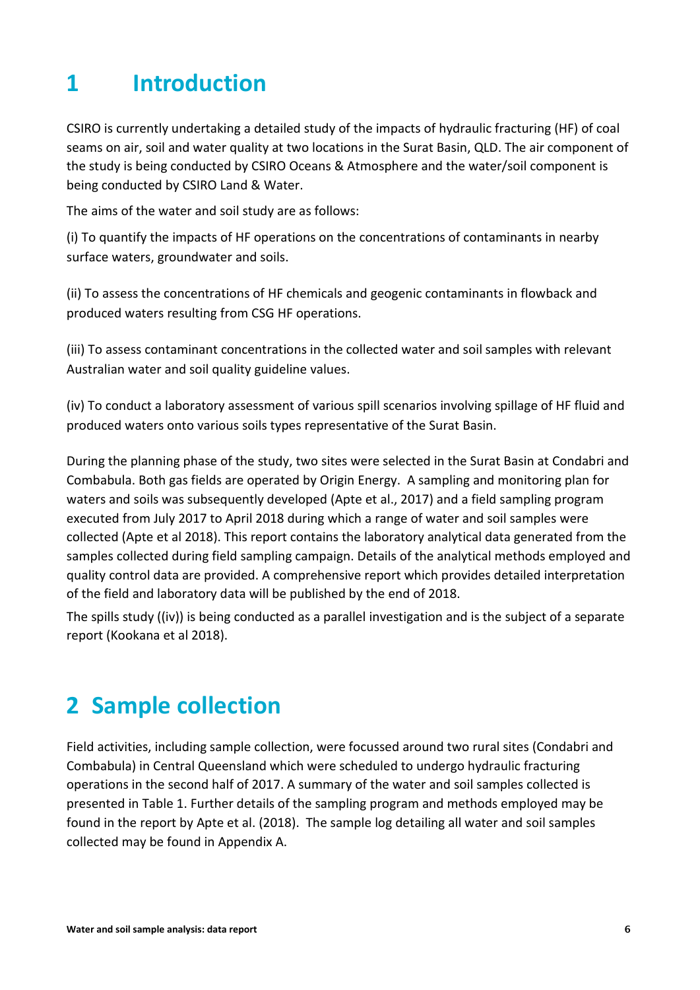### <span id="page-8-0"></span>**1 Introduction**

CSIRO is currently undertaking a detailed study of the impacts of hydraulic fracturing (HF) of coal seams on air, soil and water quality at two locations in the Surat Basin, QLD. The air component of the study is being conducted by CSIRO Oceans & Atmosphere and the water/soil component is being conducted by CSIRO Land & Water.

The aims of the water and soil study are as follows:

(i) To quantify the impacts of HF operations on the concentrations of contaminants in nearby surface waters, groundwater and soils.

(ii) To assess the concentrations of HF chemicals and geogenic contaminants in flowback and produced waters resulting from CSG HF operations.

(iii) To assess contaminant concentrations in the collected water and soil samples with relevant Australian water and soil quality guideline values.

(iv) To conduct a laboratory assessment of various spill scenarios involving spillage of HF fluid and produced waters onto various soils types representative of the Surat Basin.

During the planning phase of the study, two sites were selected in the Surat Basin at Condabri and Combabula. Both gas fields are operated by Origin Energy. A sampling and monitoring plan for waters and soils was subsequently developed (Apte et al., 2017) and a field sampling program executed from July 2017 to April 2018 during which a range of water and soil samples were collected (Apte et al 2018). This report contains the laboratory analytical data generated from the samples collected during field sampling campaign. Details of the analytical methods employed and quality control data are provided. A comprehensive report which provides detailed interpretation of the field and laboratory data will be published by the end of 2018.

The spills study ((iv)) is being conducted as a parallel investigation and is the subject of a separate report (Kookana et al 2018).

### <span id="page-8-1"></span>**2 Sample collection**

Field activities, including sample collection, were focussed around two rural sites (Condabri and Combabula) in Central Queensland which were scheduled to undergo hydraulic fracturing operations in the second half of 2017. A summary of the water and soil samples collected is presented in Table 1. Further details of the sampling program and methods employed may be found in the report by Apte et al. (2018). The sample log detailing all water and soil samples collected may be found in Appendix A.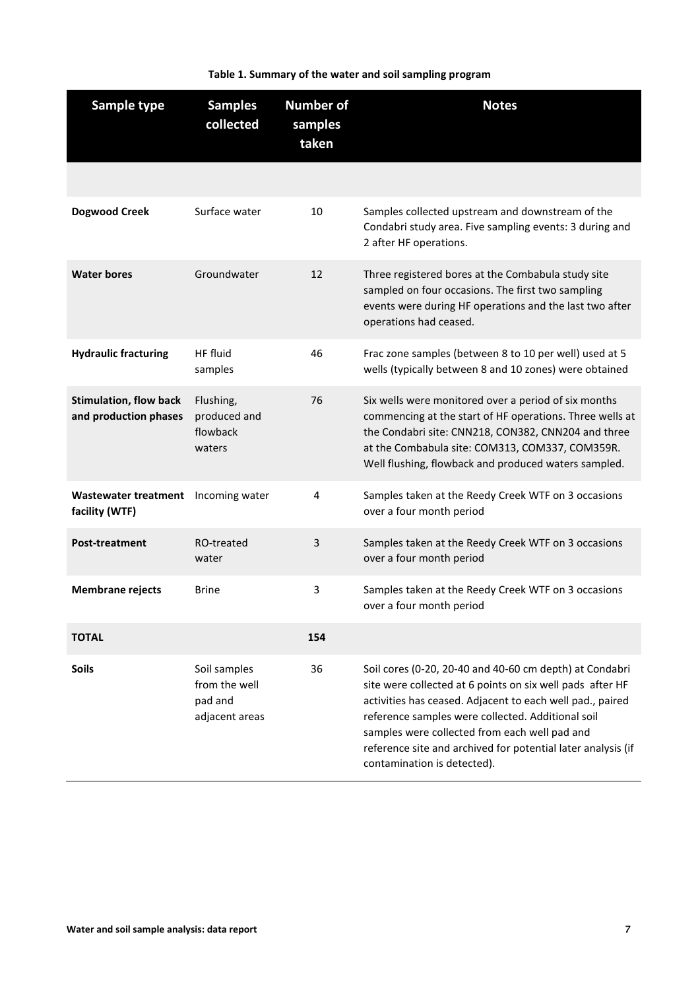<span id="page-9-0"></span>

| Sample type                                            | <b>Samples</b><br>collected                                | <b>Number of</b><br>samples<br>taken | <b>Notes</b>                                                                                                                                                                                                                                                                                                                                                                           |
|--------------------------------------------------------|------------------------------------------------------------|--------------------------------------|----------------------------------------------------------------------------------------------------------------------------------------------------------------------------------------------------------------------------------------------------------------------------------------------------------------------------------------------------------------------------------------|
|                                                        |                                                            |                                      |                                                                                                                                                                                                                                                                                                                                                                                        |
| <b>Dogwood Creek</b>                                   | Surface water                                              | 10                                   | Samples collected upstream and downstream of the<br>Condabri study area. Five sampling events: 3 during and<br>2 after HF operations.                                                                                                                                                                                                                                                  |
| <b>Water bores</b>                                     | Groundwater                                                | 12                                   | Three registered bores at the Combabula study site<br>sampled on four occasions. The first two sampling<br>events were during HF operations and the last two after<br>operations had ceased.                                                                                                                                                                                           |
| <b>Hydraulic fracturing</b>                            | HF fluid<br>samples                                        | 46                                   | Frac zone samples (between 8 to 10 per well) used at 5<br>wells (typically between 8 and 10 zones) were obtained                                                                                                                                                                                                                                                                       |
| <b>Stimulation, flow back</b><br>and production phases | Flushing,<br>produced and<br>flowback<br>waters            | 76                                   | Six wells were monitored over a period of six months<br>commencing at the start of HF operations. Three wells at<br>the Condabri site: CNN218, CON382, CNN204 and three<br>at the Combabula site: COM313, COM337, COM359R.<br>Well flushing, flowback and produced waters sampled.                                                                                                     |
| <b>Wastewater treatment</b><br>facility (WTF)          | Incoming water                                             | 4                                    | Samples taken at the Reedy Creek WTF on 3 occasions<br>over a four month period                                                                                                                                                                                                                                                                                                        |
| <b>Post-treatment</b>                                  | RO-treated<br>water                                        | 3                                    | Samples taken at the Reedy Creek WTF on 3 occasions<br>over a four month period                                                                                                                                                                                                                                                                                                        |
| <b>Membrane rejects</b>                                | <b>Brine</b>                                               | 3                                    | Samples taken at the Reedy Creek WTF on 3 occasions<br>over a four month period                                                                                                                                                                                                                                                                                                        |
| <b>TOTAL</b>                                           |                                                            | 154                                  |                                                                                                                                                                                                                                                                                                                                                                                        |
| <b>Soils</b>                                           | Soil samples<br>from the well<br>pad and<br>adjacent areas | 36                                   | Soil cores (0-20, 20-40 and 40-60 cm depth) at Condabri<br>site were collected at 6 points on six well pads after HF<br>activities has ceased. Adjacent to each well pad., paired<br>reference samples were collected. Additional soil<br>samples were collected from each well pad and<br>reference site and archived for potential later analysis (if<br>contamination is detected). |

#### **Table 1. Summary of the water and soil sampling program**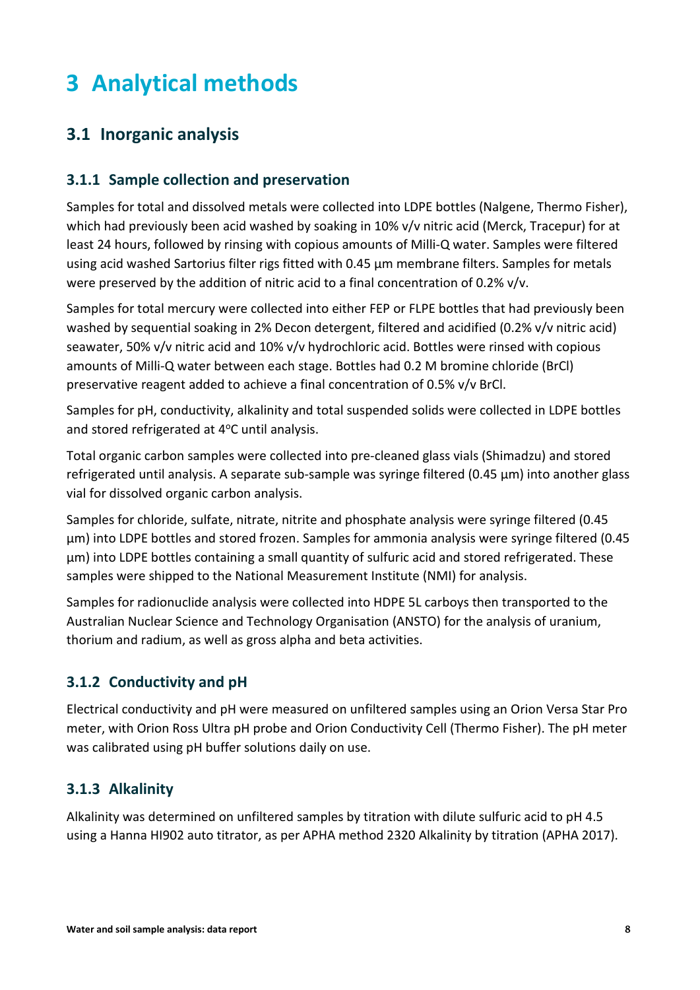# <span id="page-10-0"></span>**3 Analytical methods**

### <span id="page-10-1"></span>**3.1 Inorganic analysis**

#### <span id="page-10-2"></span>**3.1.1 Sample collection and preservation**

Samples for total and dissolved metals were collected into LDPE bottles (Nalgene, Thermo Fisher), which had previously been acid washed by soaking in 10% v/v nitric acid (Merck, Tracepur) for at least 24 hours, followed by rinsing with copious amounts of Milli-Q water. Samples were filtered using acid washed Sartorius filter rigs fitted with 0.45 µm membrane filters. Samples for metals were preserved by the addition of nitric acid to a final concentration of 0.2% v/v.

Samples for total mercury were collected into either FEP or FLPE bottles that had previously been washed by sequential soaking in 2% Decon detergent, filtered and acidified (0.2% v/v nitric acid) seawater, 50% v/v nitric acid and 10% v/v hydrochloric acid. Bottles were rinsed with copious amounts of Milli-Q water between each stage. Bottles had 0.2 M bromine chloride (BrCl) preservative reagent added to achieve a final concentration of 0.5% v/v BrCl.

Samples for pH, conductivity, alkalinity and total suspended solids were collected in LDPE bottles and stored refrigerated at 4°C until analysis.

Total organic carbon samples were collected into pre-cleaned glass vials (Shimadzu) and stored refrigerated until analysis. A separate sub-sample was syringe filtered (0.45 µm) into another glass vial for dissolved organic carbon analysis.

Samples for chloride, sulfate, nitrate, nitrite and phosphate analysis were syringe filtered (0.45 µm) into LDPE bottles and stored frozen. Samples for ammonia analysis were syringe filtered (0.45 µm) into LDPE bottles containing a small quantity of sulfuric acid and stored refrigerated. These samples were shipped to the National Measurement Institute (NMI) for analysis.

Samples for radionuclide analysis were collected into HDPE 5L carboys then transported to the Australian Nuclear Science and Technology Organisation (ANSTO) for the analysis of uranium, thorium and radium, as well as gross alpha and beta activities.

### <span id="page-10-3"></span>**3.1.2 Conductivity and pH**

Electrical conductivity and pH were measured on unfiltered samples using an Orion Versa Star Pro meter, with Orion Ross Ultra pH probe and Orion Conductivity Cell (Thermo Fisher). The pH meter was calibrated using pH buffer solutions daily on use.

#### <span id="page-10-4"></span>**3.1.3 Alkalinity**

Alkalinity was determined on unfiltered samples by titration with dilute sulfuric acid to pH 4.5 using a Hanna HI902 auto titrator, as per APHA method 2320 Alkalinity by titration (APHA 2017).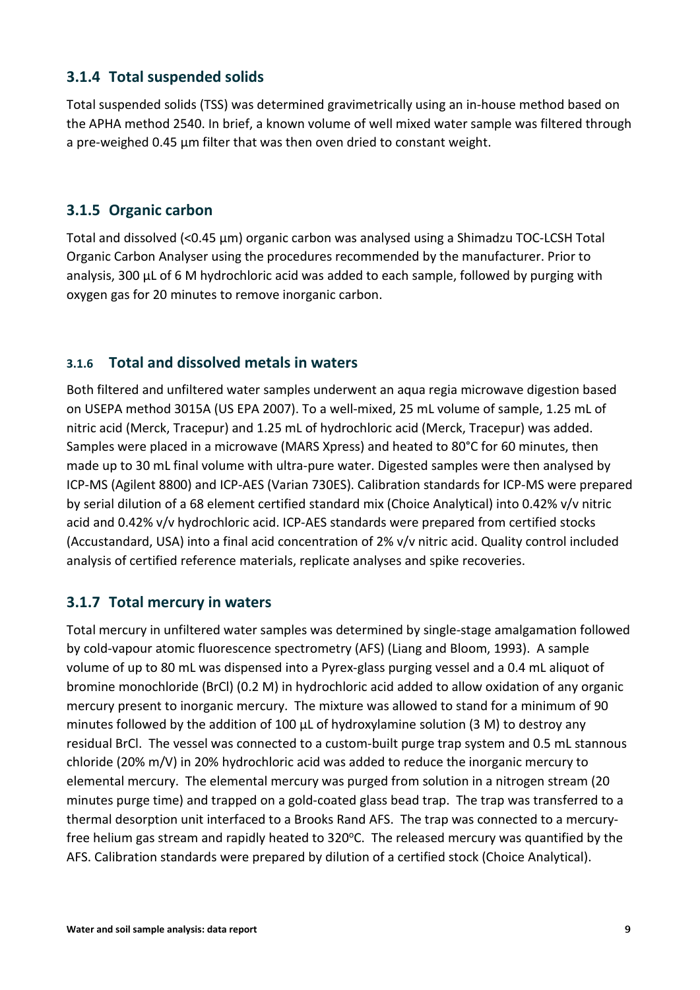#### <span id="page-11-0"></span>**3.1.4 Total suspended solids**

Total suspended solids (TSS) was determined gravimetrically using an in-house method based on the APHA method 2540. In brief, a known volume of well mixed water sample was filtered through a pre-weighed 0.45 μm filter that was then oven dried to constant weight.

#### <span id="page-11-1"></span>**3.1.5 Organic carbon**

Total and dissolved (<0.45 µm) organic carbon was analysed using a Shimadzu TOC-LCSH Total Organic Carbon Analyser using the procedures recommended by the manufacturer. Prior to analysis, 300 µL of 6 M hydrochloric acid was added to each sample, followed by purging with oxygen gas for 20 minutes to remove inorganic carbon.

#### <span id="page-11-2"></span>**3.1.6 Total and dissolved metals in waters**

Both filtered and unfiltered water samples underwent an aqua regia microwave digestion based on USEPA method 3015A (US EPA 2007). To a well-mixed, 25 mL volume of sample, 1.25 mL of nitric acid (Merck, Tracepur) and 1.25 mL of hydrochloric acid (Merck, Tracepur) was added. Samples were placed in a microwave (MARS Xpress) and heated to 80°C for 60 minutes, then made up to 30 mL final volume with ultra-pure water. Digested samples were then analysed by ICP-MS (Agilent 8800) and ICP-AES (Varian 730ES). Calibration standards for ICP-MS were prepared by serial dilution of a 68 element certified standard mix (Choice Analytical) into 0.42% v/v nitric acid and 0.42% v/v hydrochloric acid. ICP-AES standards were prepared from certified stocks (Accustandard, USA) into a final acid concentration of 2% v/v nitric acid. Quality control included analysis of certified reference materials, replicate analyses and spike recoveries.

### <span id="page-11-3"></span>**3.1.7 Total mercury in waters**

Total mercury in unfiltered water samples was determined by single-stage amalgamation followed by cold-vapour atomic fluorescence spectrometry (AFS) (Liang and Bloom, 1993). A sample volume of up to 80 mL was dispensed into a Pyrex-glass purging vessel and a 0.4 mL aliquot of bromine monochloride (BrCl) (0.2 M) in hydrochloric acid added to allow oxidation of any organic mercury present to inorganic mercury. The mixture was allowed to stand for a minimum of 90 minutes followed by the addition of 100  $\mu$ L of hydroxylamine solution (3 M) to destroy any residual BrCl. The vessel was connected to a custom-built purge trap system and 0.5 mL stannous chloride (20% m/V) in 20% hydrochloric acid was added to reduce the inorganic mercury to elemental mercury. The elemental mercury was purged from solution in a nitrogen stream (20 minutes purge time) and trapped on a gold-coated glass bead trap. The trap was transferred to a thermal desorption unit interfaced to a Brooks Rand AFS. The trap was connected to a mercuryfree helium gas stream and rapidly heated to  $320^{\circ}$ C. The released mercury was quantified by the AFS. Calibration standards were prepared by dilution of a certified stock (Choice Analytical).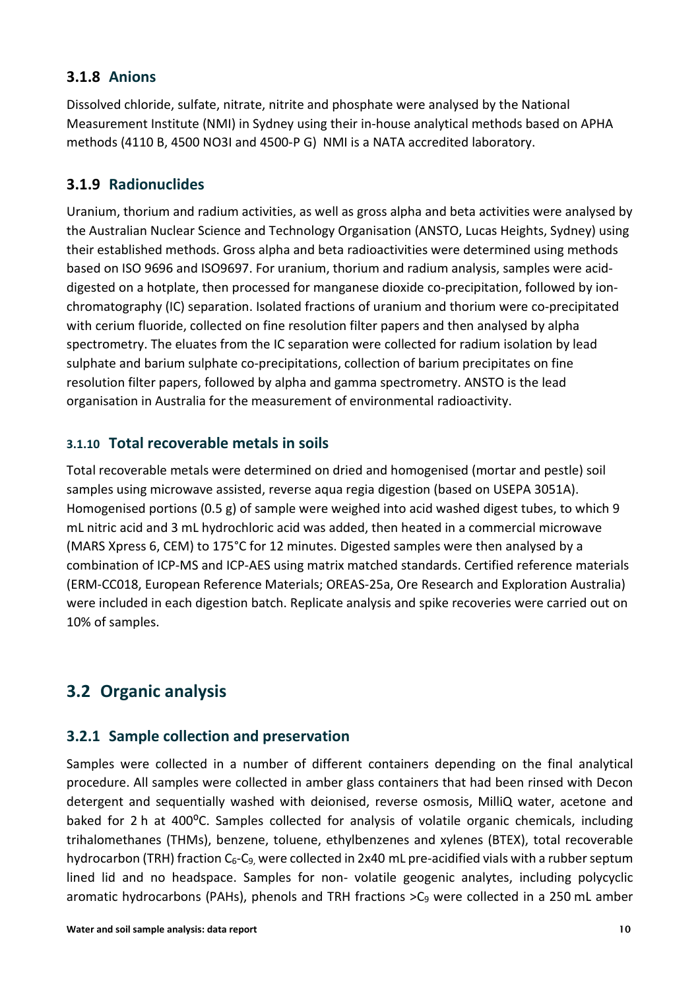#### <span id="page-12-0"></span>**3.1.8 Anions**

Dissolved chloride, sulfate, nitrate, nitrite and phosphate were analysed by the National Measurement Institute (NMI) in Sydney using their in-house analytical methods based on APHA methods (4110 B, 4500 NO3I and 4500-P G) NMI is a NATA accredited laboratory.

### <span id="page-12-1"></span>**3.1.9 Radionuclides**

Uranium, thorium and radium activities, as well as gross alpha and beta activities were analysed by the Australian Nuclear Science and Technology Organisation (ANSTO, Lucas Heights, Sydney) using their established methods. Gross alpha and beta radioactivities were determined using methods based on ISO 9696 and ISO9697. For uranium, thorium and radium analysis, samples were aciddigested on a hotplate, then processed for manganese dioxide co-precipitation, followed by ionchromatography (IC) separation. Isolated fractions of uranium and thorium were co-precipitated with cerium fluoride, collected on fine resolution filter papers and then analysed by alpha spectrometry. The eluates from the IC separation were collected for radium isolation by lead sulphate and barium sulphate co-precipitations, collection of barium precipitates on fine resolution filter papers, followed by alpha and gamma spectrometry. ANSTO is the lead organisation in Australia for the measurement of environmental radioactivity.

#### <span id="page-12-2"></span>**3.1.10 Total recoverable metals in soils**

Total recoverable metals were determined on dried and homogenised (mortar and pestle) soil samples using microwave assisted, reverse aqua regia digestion (based on USEPA 3051A). Homogenised portions (0.5 g) of sample were weighed into acid washed digest tubes, to which 9 mL nitric acid and 3 mL hydrochloric acid was added, then heated in a commercial microwave (MARS Xpress 6, CEM) to 175°C for 12 minutes. Digested samples were then analysed by a combination of ICP-MS and ICP-AES using matrix matched standards. Certified reference materials (ERM-CC018, European Reference Materials; OREAS-25a, Ore Research and Exploration Australia) were included in each digestion batch. Replicate analysis and spike recoveries were carried out on 10% of samples.

### <span id="page-12-3"></span>**3.2 Organic analysis**

### <span id="page-12-4"></span>**3.2.1 Sample collection and preservation**

Samples were collected in a number of different containers depending on the final analytical procedure. All samples were collected in amber glass containers that had been rinsed with Decon detergent and sequentially washed with deionised, reverse osmosis, MilliQ water, acetone and baked for 2 h at 400°C. Samples collected for analysis of volatile organic chemicals, including trihalomethanes (THMs), benzene, toluene, ethylbenzenes and xylenes (BTEX), total recoverable hydrocarbon (TRH) fraction  $C_6-C_9$ , were collected in 2x40 mL pre-acidified vials with a rubber septum lined lid and no headspace. Samples for non- volatile geogenic analytes, including polycyclic aromatic hydrocarbons (PAHs), phenols and TRH fractions  $>$ C<sub>9</sub> were collected in a 250 mL amber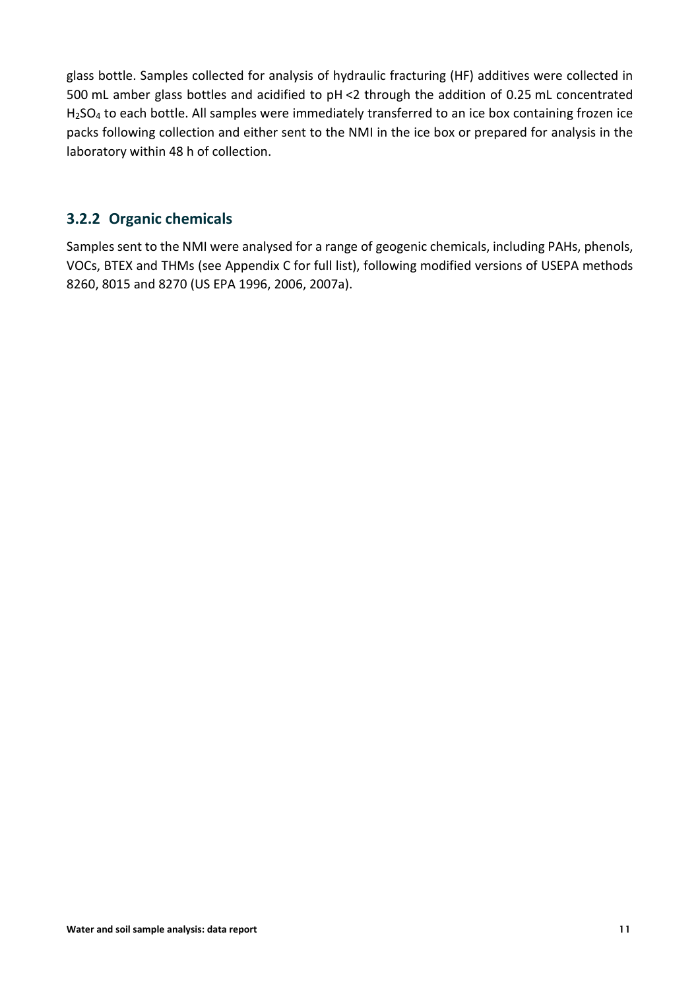glass bottle. Samples collected for analysis of hydraulic fracturing (HF) additives were collected in 500 mL amber glass bottles and acidified to pH <2 through the addition of 0.25 mL concentrated H<sub>2</sub>SO<sub>4</sub> to each bottle. All samples were immediately transferred to an ice box containing frozen ice packs following collection and either sent to the NMI in the ice box or prepared for analysis in the laboratory within 48 h of collection.

#### <span id="page-13-0"></span>**3.2.2 Organic chemicals**

Samples sent to the NMI were analysed for a range of geogenic chemicals, including PAHs, phenols, VOCs, BTEX and THMs (see Appendix C for full list), following modified versions of USEPA methods 8260, 8015 and 8270 (US EPA 1996, 2006, 2007a).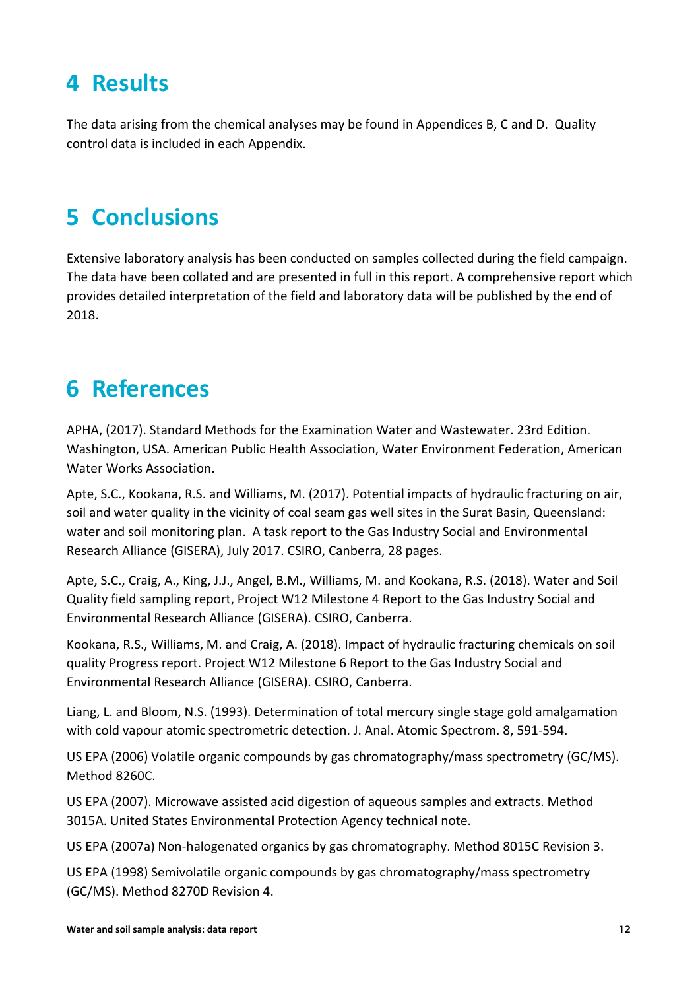### <span id="page-14-0"></span>**4 Results**

The data arising from the chemical analyses may be found in Appendices B, C and D. Quality control data is included in each Appendix.

### <span id="page-14-1"></span>**5 Conclusions**

Extensive laboratory analysis has been conducted on samples collected during the field campaign. The data have been collated and are presented in full in this report. A comprehensive report which provides detailed interpretation of the field and laboratory data will be published by the end of 2018.

### <span id="page-14-2"></span>**6 References**

APHA, (2017). Standard Methods for the Examination Water and Wastewater. 23rd Edition. Washington, USA. American Public Health Association, Water Environment Federation, American Water Works Association.

Apte, S.C., Kookana, R.S. and Williams, M. (2017). Potential impacts of hydraulic fracturing on air, soil and water quality in the vicinity of coal seam gas well sites in the Surat Basin, Queensland: water and soil monitoring plan. A task report to the Gas Industry Social and Environmental Research Alliance (GISERA), July 2017. CSIRO, Canberra, 28 pages.

Apte, S.C., Craig, A., King, J.J., Angel, B.M., Williams, M. and Kookana, R.S. (2018). Water and Soil Quality field sampling report, Project W12 Milestone 4 Report to the Gas Industry Social and Environmental Research Alliance (GISERA). CSIRO, Canberra.

Kookana, R.S., Williams, M. and Craig, A. (2018). Impact of hydraulic fracturing chemicals on soil quality Progress report. Project W12 Milestone 6 Report to the Gas Industry Social and Environmental Research Alliance (GISERA). CSIRO, Canberra.

Liang, L. and Bloom, N.S. (1993). Determination of total mercury single stage gold amalgamation with cold vapour atomic spectrometric detection. J. Anal. Atomic Spectrom. 8, 591-594.

US EPA (2006) Volatile organic compounds by gas chromatography/mass spectrometry (GC/MS). Method 8260C.

US EPA (2007). Microwave assisted acid digestion of aqueous samples and extracts. Method 3015A. United States Environmental Protection Agency technical note.

US EPA (2007a) Non-halogenated organics by gas chromatography. Method 8015C Revision 3.

US EPA (1998) Semivolatile organic compounds by gas chromatography/mass spectrometry (GC/MS). Method 8270D Revision 4.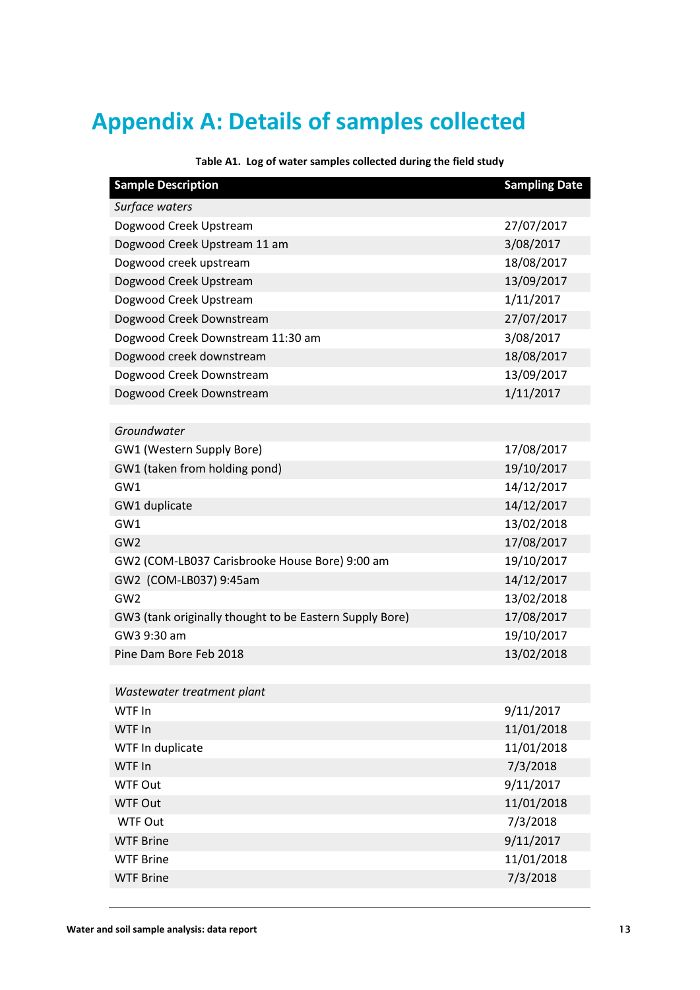# <span id="page-15-0"></span>**Appendix A: Details of samples collected**

<span id="page-15-1"></span>

| <b>Sample Description</b>                               | <b>Sampling Date</b> |
|---------------------------------------------------------|----------------------|
| Surface waters                                          |                      |
| Dogwood Creek Upstream                                  | 27/07/2017           |
| Dogwood Creek Upstream 11 am                            | 3/08/2017            |
| Dogwood creek upstream                                  | 18/08/2017           |
| Dogwood Creek Upstream                                  | 13/09/2017           |
| Dogwood Creek Upstream                                  | 1/11/2017            |
| Dogwood Creek Downstream                                | 27/07/2017           |
| Dogwood Creek Downstream 11:30 am                       | 3/08/2017            |
| Dogwood creek downstream                                | 18/08/2017           |
| Dogwood Creek Downstream                                | 13/09/2017           |
| Dogwood Creek Downstream                                | 1/11/2017            |
|                                                         |                      |
| Groundwater                                             |                      |
| GW1 (Western Supply Bore)                               | 17/08/2017           |
| GW1 (taken from holding pond)                           | 19/10/2017           |
| GW1                                                     | 14/12/2017           |
| GW1 duplicate                                           | 14/12/2017           |
| GW1                                                     | 13/02/2018           |
| GW <sub>2</sub>                                         | 17/08/2017           |
| GW2 (COM-LB037 Carisbrooke House Bore) 9:00 am          | 19/10/2017           |
| GW2 (COM-LB037) 9:45am                                  | 14/12/2017           |
| GW <sub>2</sub>                                         | 13/02/2018           |
| GW3 (tank originally thought to be Eastern Supply Bore) | 17/08/2017           |
| GW3 9:30 am                                             | 19/10/2017           |
| Pine Dam Bore Feb 2018                                  | 13/02/2018           |
|                                                         |                      |
| Wastewater treatment plant                              |                      |
| WTF In                                                  | 9/11/2017            |
| WTF In                                                  | 11/01/2018           |
| WTF In duplicate                                        | 11/01/2018           |
| WTF In                                                  | 7/3/2018             |
| <b>WTF Out</b>                                          | 9/11/2017            |
| <b>WTF Out</b>                                          | 11/01/2018           |
| <b>WTF Out</b>                                          | 7/3/2018             |
| <b>WTF Brine</b>                                        | 9/11/2017            |
| <b>WTF Brine</b>                                        | 11/01/2018           |
| <b>WTF Brine</b>                                        | 7/3/2018             |

**Table A1. Log of water samples collected during the field study**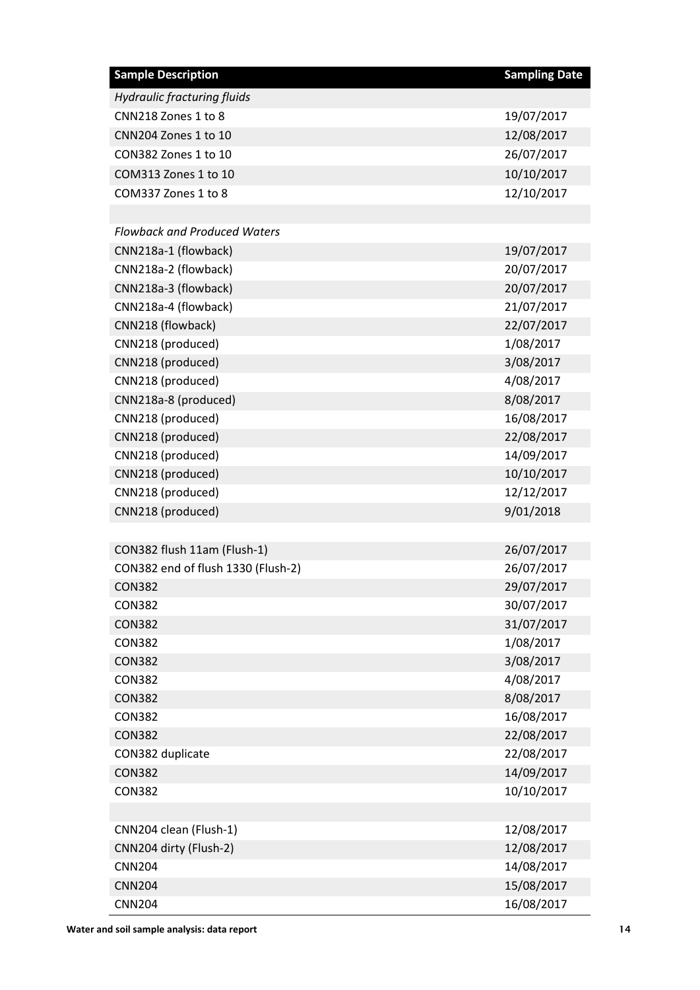| <b>Sample Description</b>           | <b>Sampling Date</b> |
|-------------------------------------|----------------------|
| <b>Hydraulic fracturing fluids</b>  |                      |
| CNN218 Zones 1 to 8                 | 19/07/2017           |
| CNN204 Zones 1 to 10                | 12/08/2017           |
| CON382 Zones 1 to 10                | 26/07/2017           |
| COM313 Zones 1 to 10                | 10/10/2017           |
| COM337 Zones 1 to 8                 | 12/10/2017           |
|                                     |                      |
| <b>Flowback and Produced Waters</b> |                      |
| CNN218a-1 (flowback)                | 19/07/2017           |
| CNN218a-2 (flowback)                | 20/07/2017           |
| CNN218a-3 (flowback)                | 20/07/2017           |
| CNN218a-4 (flowback)                | 21/07/2017           |
| CNN218 (flowback)                   | 22/07/2017           |
| CNN218 (produced)                   | 1/08/2017            |
| CNN218 (produced)                   | 3/08/2017            |
| CNN218 (produced)                   | 4/08/2017            |
| CNN218a-8 (produced)                | 8/08/2017            |
| CNN218 (produced)                   | 16/08/2017           |
| CNN218 (produced)                   | 22/08/2017           |
| CNN218 (produced)                   | 14/09/2017           |
| CNN218 (produced)                   | 10/10/2017           |
| CNN218 (produced)                   | 12/12/2017           |
| CNN218 (produced)                   | 9/01/2018            |
|                                     |                      |
| CON382 flush 11am (Flush-1)         | 26/07/2017           |
| CON382 end of flush 1330 (Flush-2)  | 26/07/2017           |
| <b>CON382</b>                       | 29/07/2017           |
| <b>CON382</b>                       | 30/07/2017           |
| <b>CON382</b>                       | 31/07/2017           |
| <b>CON382</b>                       | 1/08/2017            |
| <b>CON382</b>                       | 3/08/2017            |
| <b>CON382</b>                       | 4/08/2017            |
| <b>CON382</b>                       | 8/08/2017            |
| <b>CON382</b>                       | 16/08/2017           |
| <b>CON382</b>                       | 22/08/2017           |
| CON382 duplicate                    | 22/08/2017           |
| <b>CON382</b>                       | 14/09/2017           |
| <b>CON382</b>                       | 10/10/2017           |
|                                     |                      |
| CNN204 clean (Flush-1)              | 12/08/2017           |
| CNN204 dirty (Flush-2)              | 12/08/2017           |
| <b>CNN204</b>                       | 14/08/2017           |
| <b>CNN204</b>                       | 15/08/2017           |
| <b>CNN204</b>                       | 16/08/2017           |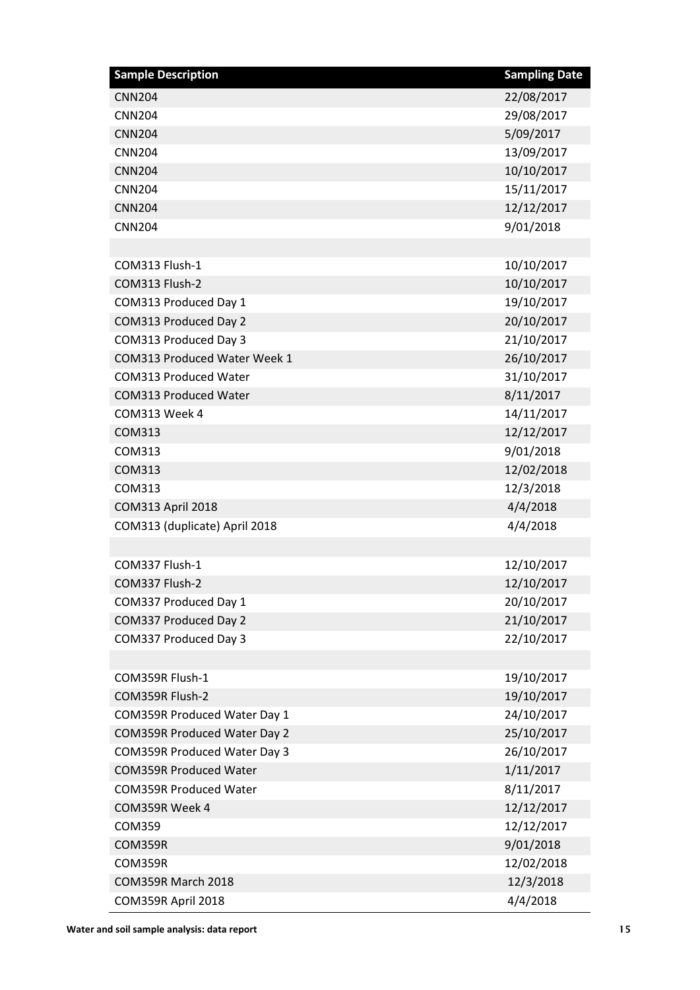| <b>Sample Description</b>           | <b>Sampling Date</b> |
|-------------------------------------|----------------------|
| <b>CNN204</b>                       | 22/08/2017           |
| <b>CNN204</b>                       | 29/08/2017           |
| <b>CNN204</b>                       | 5/09/2017            |
| <b>CNN204</b>                       | 13/09/2017           |
| <b>CNN204</b>                       | 10/10/2017           |
| <b>CNN204</b>                       | 15/11/2017           |
| <b>CNN204</b>                       | 12/12/2017           |
| <b>CNN204</b>                       | 9/01/2018            |
|                                     |                      |
| COM313 Flush-1                      | 10/10/2017           |
| COM313 Flush-2                      | 10/10/2017           |
| COM313 Produced Day 1               | 19/10/2017           |
| COM313 Produced Day 2               | 20/10/2017           |
| COM313 Produced Day 3               | 21/10/2017           |
| COM313 Produced Water Week 1        | 26/10/2017           |
| <b>COM313 Produced Water</b>        | 31/10/2017           |
| <b>COM313 Produced Water</b>        | 8/11/2017            |
| COM313 Week 4                       | 14/11/2017           |
| COM313                              | 12/12/2017           |
| COM313                              | 9/01/2018            |
| <b>COM313</b>                       | 12/02/2018           |
| COM313                              | 12/3/2018            |
| <b>COM313 April 2018</b>            | 4/4/2018             |
| COM313 (duplicate) April 2018       | 4/4/2018             |
|                                     |                      |
| COM337 Flush-1                      | 12/10/2017           |
| COM337 Flush-2                      | 12/10/2017           |
| COM337 Produced Day 1               | 20/10/2017           |
| COM337 Produced Day 2               | 21/10/2017           |
| COM337 Produced Day 3               | 22/10/2017           |
|                                     |                      |
| COM359R Flush-1                     | 19/10/2017           |
| COM359R Flush-2                     | 19/10/2017           |
| COM359R Produced Water Day 1        | 24/10/2017           |
| COM359R Produced Water Day 2        | 25/10/2017           |
| <b>COM359R Produced Water Day 3</b> | 26/10/2017           |
| <b>COM359R Produced Water</b>       | 1/11/2017            |
| <b>COM359R Produced Water</b>       | 8/11/2017            |
| COM359R Week 4                      | 12/12/2017           |
| <b>COM359</b>                       | 12/12/2017           |
| COM359R                             | 9/01/2018            |
| COM359R                             | 12/02/2018           |
| COM359R March 2018                  | 12/3/2018            |
| COM359R April 2018                  | 4/4/2018             |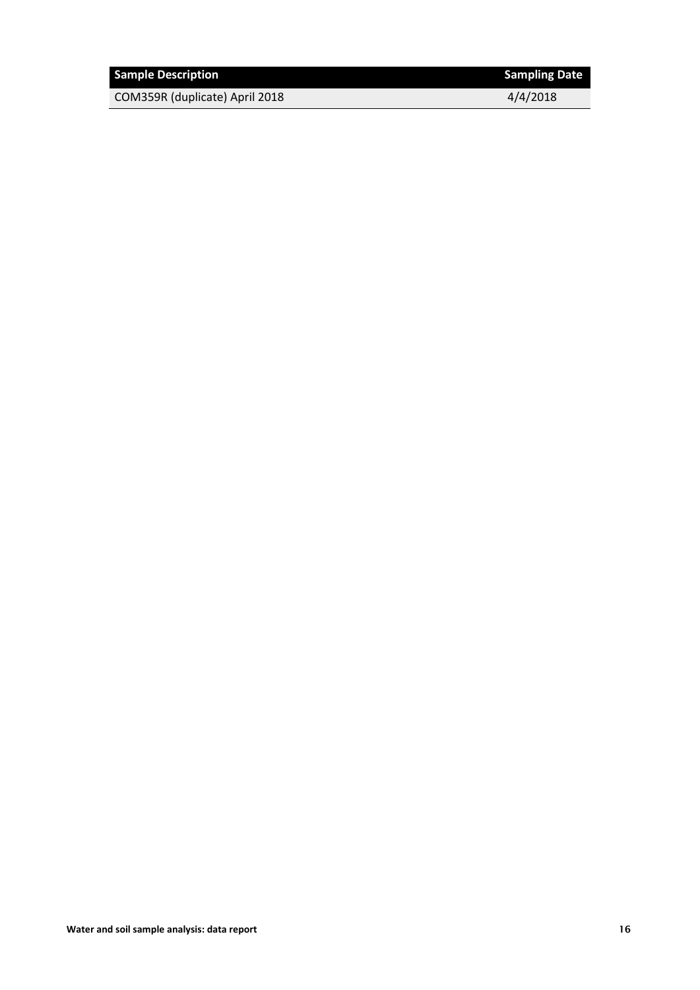| <b>Sample Description</b>      | <b>Sampling Date</b> |
|--------------------------------|----------------------|
| COM359R (duplicate) April 2018 | 4/4/2018             |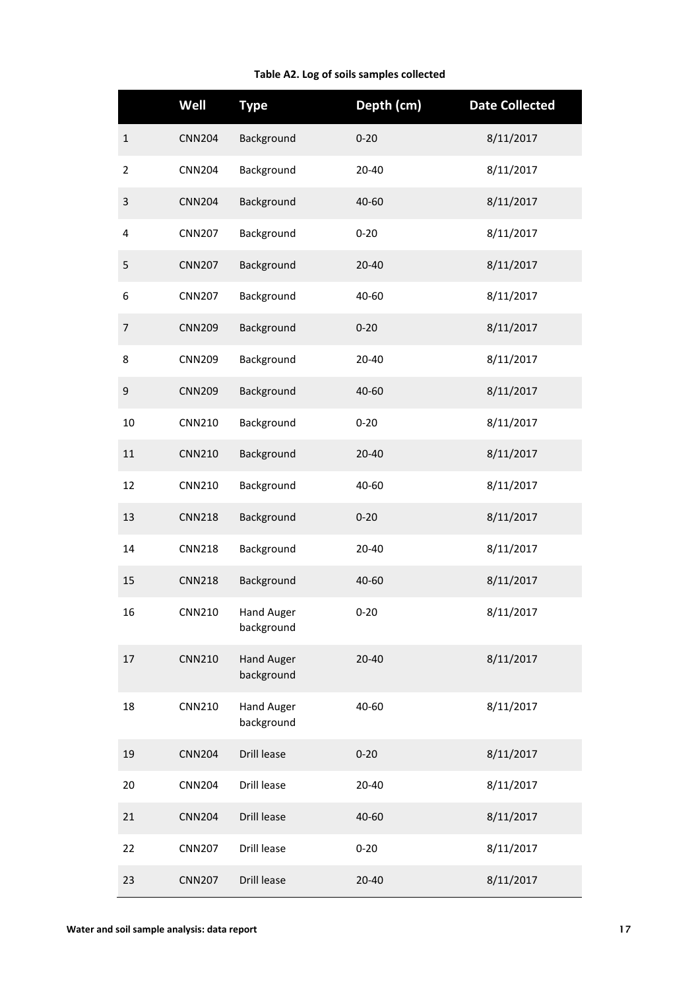#### **Table A2. Log of soils samples collected**

<span id="page-19-0"></span>

|                | Well          | <b>Type</b>                     | Depth (cm) | <b>Date Collected</b> |
|----------------|---------------|---------------------------------|------------|-----------------------|
| $\mathbf 1$    | <b>CNN204</b> | Background                      | $0 - 20$   | 8/11/2017             |
| $\overline{2}$ | <b>CNN204</b> | Background                      | 20-40      | 8/11/2017             |
| 3              | <b>CNN204</b> | Background                      | 40-60      | 8/11/2017             |
| 4              | <b>CNN207</b> | Background                      | $0 - 20$   | 8/11/2017             |
| 5              | <b>CNN207</b> | Background                      | 20-40      | 8/11/2017             |
| 6              | <b>CNN207</b> | Background                      | 40-60      | 8/11/2017             |
| $\overline{7}$ | <b>CNN209</b> | Background                      | $0 - 20$   | 8/11/2017             |
| 8              | <b>CNN209</b> | Background                      | $20 - 40$  | 8/11/2017             |
| 9              | <b>CNN209</b> | Background                      | 40-60      | 8/11/2017             |
| 10             | <b>CNN210</b> | Background                      | $0 - 20$   | 8/11/2017             |
| 11             | <b>CNN210</b> | Background                      | 20-40      | 8/11/2017             |
| 12             | <b>CNN210</b> | Background                      | 40-60      | 8/11/2017             |
| 13             | <b>CNN218</b> | Background                      | $0 - 20$   | 8/11/2017             |
| 14             | <b>CNN218</b> | Background                      | 20-40      | 8/11/2017             |
| 15             | <b>CNN218</b> | Background                      | 40-60      | 8/11/2017             |
| 16             | <b>CNN210</b> | <b>Hand Auger</b><br>background | $0 - 20$   | 8/11/2017             |
| 17             | <b>CNN210</b> | <b>Hand Auger</b><br>background | $20 - 40$  | 8/11/2017             |
| 18             | <b>CNN210</b> | <b>Hand Auger</b><br>background | 40-60      | 8/11/2017             |
| 19             | <b>CNN204</b> | Drill lease                     | $0 - 20$   | 8/11/2017             |
| 20             | <b>CNN204</b> | Drill lease                     | $20 - 40$  | 8/11/2017             |
| 21             | <b>CNN204</b> | Drill lease                     | 40-60      | 8/11/2017             |
| 22             | <b>CNN207</b> | Drill lease                     | $0 - 20$   | 8/11/2017             |
| 23             | <b>CNN207</b> | Drill lease                     | 20-40      | 8/11/2017             |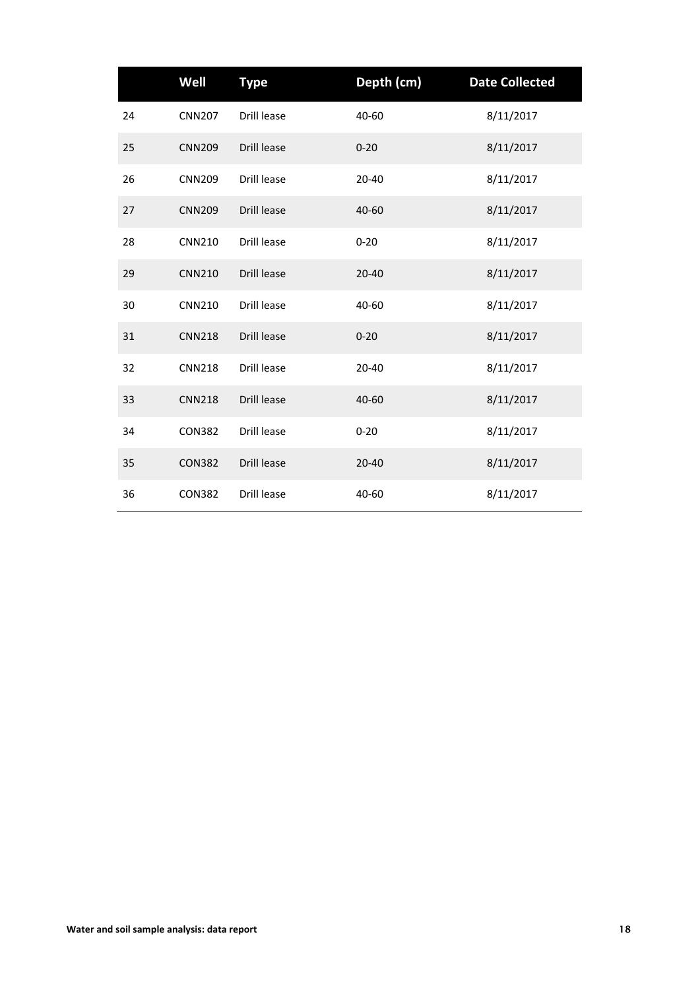|    | Well          | <b>Type</b> | Depth (cm) | <b>Date Collected</b> |
|----|---------------|-------------|------------|-----------------------|
| 24 | <b>CNN207</b> | Drill lease | 40-60      | 8/11/2017             |
| 25 | <b>CNN209</b> | Drill lease | $0 - 20$   | 8/11/2017             |
| 26 | <b>CNN209</b> | Drill lease | 20-40      | 8/11/2017             |
| 27 | <b>CNN209</b> | Drill lease | 40-60      | 8/11/2017             |
| 28 | <b>CNN210</b> | Drill lease | $0 - 20$   | 8/11/2017             |
| 29 | <b>CNN210</b> | Drill lease | $20 - 40$  | 8/11/2017             |
| 30 | <b>CNN210</b> | Drill lease | 40-60      | 8/11/2017             |
| 31 | <b>CNN218</b> | Drill lease | $0 - 20$   | 8/11/2017             |
| 32 | <b>CNN218</b> | Drill lease | 20-40      | 8/11/2017             |
| 33 | <b>CNN218</b> | Drill lease | 40-60      | 8/11/2017             |
| 34 | <b>CON382</b> | Drill lease | $0 - 20$   | 8/11/2017             |
| 35 | <b>CON382</b> | Drill lease | 20-40      | 8/11/2017             |
| 36 | <b>CON382</b> | Drill lease | 40-60      | 8/11/2017             |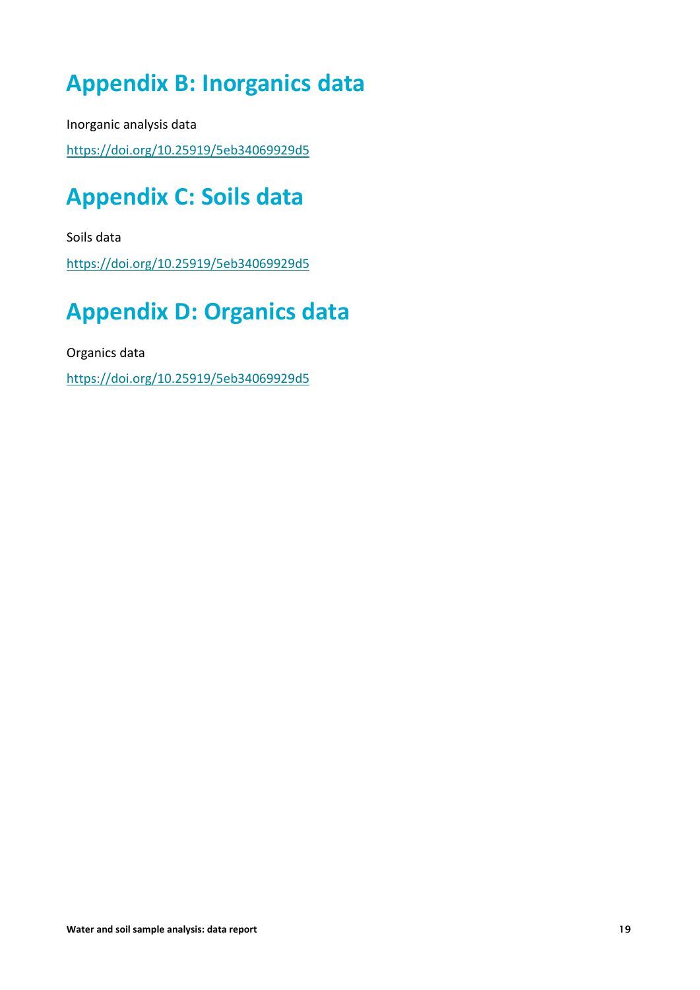### <span id="page-21-0"></span>**Appendix B: Inorganics data**

Inorganic analysis data

<span id="page-21-1"></span><https://doi.org/10.25919/5eb34069929d5>

### **Appendix C: Soils data**

Soils data <https://doi.org/10.25919/5eb34069929d5>

# <span id="page-21-2"></span>**Appendix D: Organics data**

Organics data

<https://doi.org/10.25919/5eb34069929d5>